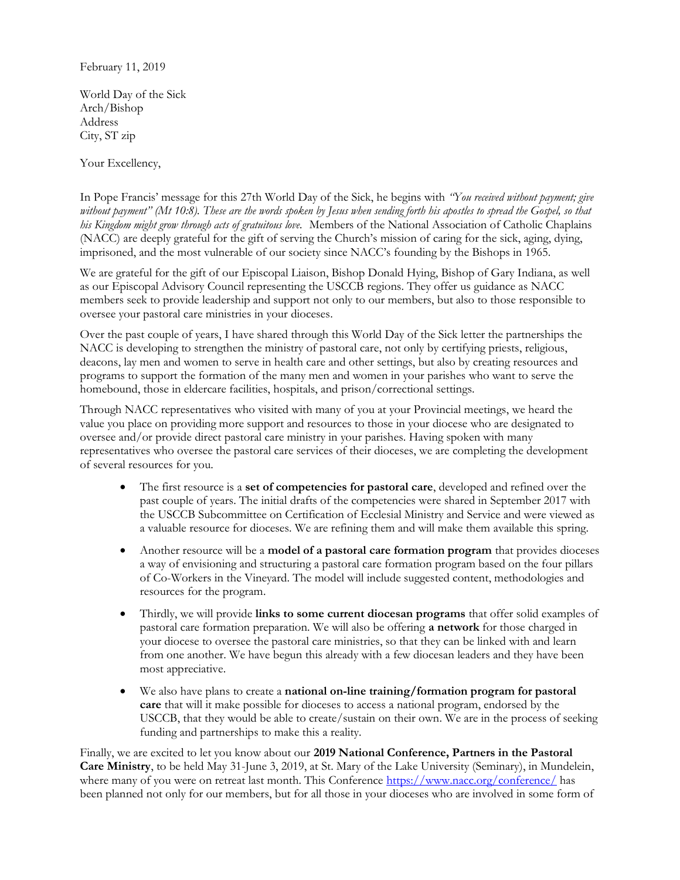## February 11, 2019

World Day of the Sick Arch/Bishop Address City, ST zip

Your Excellency,

In Pope Francis' message for this 27th World Day of the Sick, he begins with "You received without payment; give without payment" (Mt 10:8). These are the words spoken by Jesus when sending forth his apostles to spread the Gospel, so that his Kingdom might grow through acts of gratuitous love. Members of the National Association of Catholic Chaplains (NACC) are deeply grateful for the gift of serving the Church's mission of caring for the sick, aging, dying, imprisoned, and the most vulnerable of our society since NACC's founding by the Bishops in 1965.

We are grateful for the gift of our Episcopal Liaison, Bishop Donald Hying, Bishop of Gary Indiana, as well as our Episcopal Advisory Council representing the USCCB regions. They offer us guidance as NACC members seek to provide leadership and support not only to our members, but also to those responsible to oversee your pastoral care ministries in your dioceses.

Over the past couple of years, I have shared through this World Day of the Sick letter the partnerships the NACC is developing to strengthen the ministry of pastoral care, not only by certifying priests, religious, deacons, lay men and women to serve in health care and other settings, but also by creating resources and programs to support the formation of the many men and women in your parishes who want to serve the homebound, those in eldercare facilities, hospitals, and prison/correctional settings.

Through NACC representatives who visited with many of you at your Provincial meetings, we heard the value you place on providing more support and resources to those in your diocese who are designated to oversee and/or provide direct pastoral care ministry in your parishes. Having spoken with many representatives who oversee the pastoral care services of their dioceses, we are completing the development of several resources for you.

- The first resource is a set of competencies for pastoral care, developed and refined over the past couple of years. The initial drafts of the competencies were shared in September 2017 with the USCCB Subcommittee on Certification of Ecclesial Ministry and Service and were viewed as a valuable resource for dioceses. We are refining them and will make them available this spring.
- Another resource will be a **model of a pastoral care formation program** that provides dioceses a way of envisioning and structuring a pastoral care formation program based on the four pillars of Co-Workers in the Vineyard. The model will include suggested content, methodologies and resources for the program.
- Thirdly, we will provide links to some current diocesan programs that offer solid examples of pastoral care formation preparation. We will also be offering a network for those charged in your diocese to oversee the pastoral care ministries, so that they can be linked with and learn from one another. We have begun this already with a few diocesan leaders and they have been most appreciative.
- We also have plans to create a **national on-line training/formation program for pastoral** care that will it make possible for dioceses to access a national program, endorsed by the USCCB, that they would be able to create/sustain on their own. We are in the process of seeking funding and partnerships to make this a reality.

Finally, we are excited to let you know about our 2019 National Conference, Partners in the Pastoral Care Ministry, to be held May 31-June 3, 2019, at St. Mary of the Lake University (Seminary), in Mundelein, where many of you were on retreat last month. This Conference https://www.nacc.org/conference/ has been planned not only for our members, but for all those in your dioceses who are involved in some form of